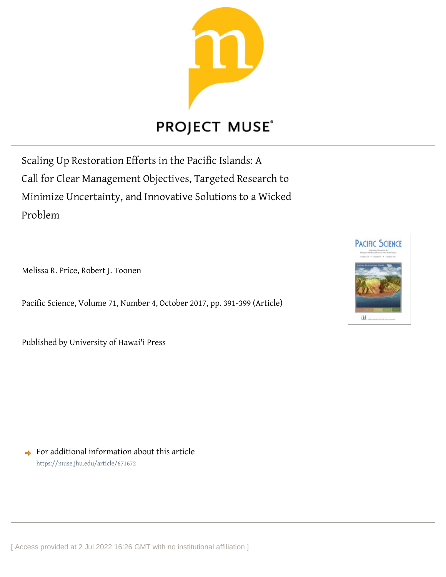

# **PROJECT MUSE®**

Scaling Up Restoration Efforts in the Pacific Islands: A Call for Clear Management Objectives, Targeted Research to Minimize Uncertainty, and Innovative Solutions to a Wicked Problem

Melissa R. Price, Robert J. Toonen

Pacific Science, Volume 71, Number 4, October 2017, pp. 391-399 (Article)

Published by University of Hawai'i Press

 $\rightarrow$  For additional information about this article <https://muse.jhu.edu/article/671672>

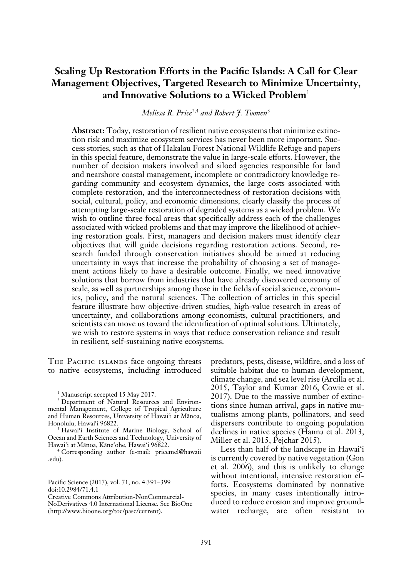# **Scaling Up Restoration Efforts in the Pacific Islands: A Call for Clear Management Objectives, Targeted Research to Minimize Uncertainty, and Innovative Solutions to a Wicked Problem**<sup>1</sup>

*Melissa R. Price*2,4 *and Robert J. Toonen*<sup>3</sup>

**Abstract:** Today, restoration of resilient native ecosystems that minimize extinction risk and maximize ecosystem services has never been more important. Success stories, such as that of Hakalau Forest National Wildlife Refuge and papers in this special feature, demonstrate the value in large-scale efforts. However, the number of decision makers involved and siloed agencies responsible for land and nearshore coastal management, incomplete or contradictory knowledge regarding community and ecosystem dynamics, the large costs associated with complete restoration, and the interconnectedness of restoration decisions with social, cultural, policy, and economic dimensions, clearly classify the process of attempting large-scale restoration of degraded systems as a wicked problem. We wish to outline three focal areas that specifically address each of the challenges associated with wicked problems and that may improve the likelihood of achieving restoration goals. First, managers and decision makers must identify clear objectives that will guide decisions regarding restoration actions. Second, research funded through conservation initiatives should be aimed at reducing uncertainty in ways that increase the probability of choosing a set of management actions likely to have a desirable outcome. Finally, we need innovative solutions that borrow from industries that have already discovered economy of scale, as well as partnerships among those in the fields of social science, economics, policy, and the natural sciences. The collection of articles in this special feature illustrate how objective-driven studies, high-value research in areas of uncertainty, and collaborations among economists, cultural practitioners, and scientists can move us toward the identification of optimal solutions. Ultimately, we wish to restore systems in ways that reduce conservation reliance and result in resilient, self-sustaining native ecosystems.

THE PACIFIC ISLANDS face ongoing threats to native ecosystems, including introduced

predators, pests, disease, wildfire, and a loss of suitable habitat due to human development, climate change, and sea level rise (Arcilla et al. 2015, Taylor and Kumar 2016, Cowie et al. 2017). Due to the massive number of extinctions since human arrival, gaps in native mutualisms among plants, pollinators, and seed dispersers contribute to ongoing population declines in native species (Hanna et al. 2013, Miller et al. 2015, Pejchar 2015).

Less than half of the landscape in Hawai'i is currently covered by native vegetation (Gon et al. 2006), and this is unlikely to change without intentional, intensive restoration efforts. Ecosystems dominated by nonnative species, in many cases intentionally introduced to reduce erosion and improve groundwater recharge, are often resistant to

<sup>&</sup>lt;sup>1</sup> Manuscript accepted 15 May 2017.

<sup>2</sup> Department of Natural Resources and Environmental Management, College of Tropical Agriculture and Human Resources, University of Hawai'i at Mänoa, Honolulu, Hawai'i 96822.

<sup>3</sup> Hawai'i Institute of Marine Biology, School of Ocean and Earth Sciences and Technology, University of Hawai'i at Mänoa, Käne'ohe, Hawai'i 96822.

<sup>4</sup> Corresponding author (e-mail: pricemel@hawaii .edu).

Pacific Science (2017), vol. 71, no. 4:391–399 doi:10.2984/71.4.1

Creative Commons Attribution-NonCommercial-NoDerivatives 4.0 International License. See BioOne (http://www.bioone.org/toc/pasc/current).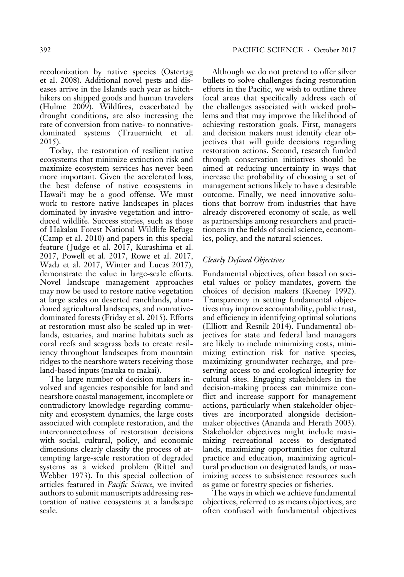recolonization by native species (Ostertag et al. 2008). Additional novel pests and diseases arrive in the Islands each year as hitchhikers on shipped goods and human travelers (Hulme 2009). Wildfires, exacerbated by drought conditions, are also increasing the rate of conversion from native- to nonnativedominated systems (Trauernicht et al. 2015).

Today, the restoration of resilient native ecosystems that minimize extinction risk and maximize ecosystem services has never been more important. Given the accelerated loss, the best defense of native ecosystems in Hawai'i may be a good offense. We must work to restore native landscapes in places dominated by invasive vegetation and introduced wildlife. Success stories, such as those of Hakalau Forest National Wildlife Refuge (Camp et al. 2010) and papers in this special feature (Judge et al. 2017, Kurashima et al. 2017, Powell et al. 2017, Rowe et al. 2017, Wada et al. 2017, Winter and Lucas 2017), demonstrate the value in large-scale efforts. Novel landscape management approaches may now be used to restore native vegetation at large scales on deserted ranchlands, abandoned agricultural landscapes, and nonnativedominated forests (Friday et al. 2015). Efforts at restoration must also be scaled up in wetlands, estuaries, and marine habitats such as coral reefs and seagrass beds to create resiliency throughout landscapes from mountain ridges to the nearshore waters receiving those land-based inputs (mauka to makai).

The large number of decision makers involved and agencies responsible for land and nearshore coastal management, incomplete or contradictory knowledge regarding community and ecosystem dynamics, the large costs associated with complete restoration, and the interconnectedness of restoration decisions with social, cultural, policy, and economic dimensions clearly classify the process of attempting large-scale restoration of degraded systems as a wicked problem (Rittel and Webber 1973). In this special collection of articles featured in *Pacific Science,* we invited authors to submit manuscripts addressing restoration of native ecosystems at a landscape scale.

Although we do not pretend to offer silver bullets to solve challenges facing restoration efforts in the Pacific, we wish to outline three focal areas that specifically address each of the challenges associated with wicked problems and that may improve the likelihood of achieving restoration goals. First, managers and decision makers must identify clear objectives that will guide decisions regarding restoration actions. Second, research funded through conservation initiatives should be aimed at reducing uncertainty in ways that increase the probability of choosing a set of management actions likely to have a desirable outcome. Finally, we need innovative solutions that borrow from industries that have already discovered economy of scale, as well as partnerships among researchers and practitioners in the fields of social science, economics, policy, and the natural sciences.

### *Clearly Defined Objectives*

Fundamental objectives, often based on societal values or policy mandates, govern the choices of decision makers (Keeney 1992). Transparency in setting fundamental objectives may improve accountability, public trust, and efficiency in identifying optimal solutions (Elliott and Resnik 2014). Fundamental objectives for state and federal land managers are likely to include minimizing costs, minimizing extinction risk for native species, maximizing groundwater recharge, and preserving access to and ecological integrity for cultural sites. Engaging stakeholders in the decision-making process can minimize conflict and increase support for management actions, particularly when stakeholder objectives are incorporated alongside decisionmaker objectives (Ananda and Herath 2003). Stakeholder objectives might include maximizing recreational access to designated lands, maximizing opportunities for cultural practice and education, maximizing agricultural production on designated lands, or maximizing access to subsistence resources such as game or forestry species or fisheries.

The ways in which we achieve fundamental objectives, referred to as means objectives, are often confused with fundamental objectives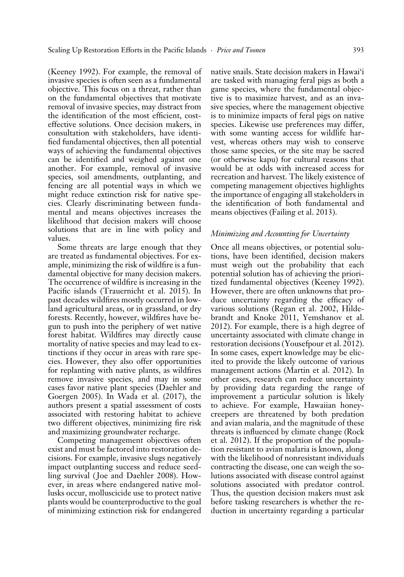(Keeney 1992). For example, the removal of invasive species is often seen as a fundamental objective. This focus on a threat, rather than on the fundamental objectives that motivate removal of invasive species, may distract from the identification of the most efficient, costeffective solutions. Once decision makers, in consultation with stakeholders, have identified fundamental objectives, then all potential ways of achieving the fundamental objectives can be identified and weighed against one another. For example, removal of invasive species, soil amendments, outplanting, and fencing are all potential ways in which we might reduce extinction risk for native species. Clearly discriminating between fundamental and means objectives increases the likelihood that decision makers will choose solutions that are in line with policy and values.

Some threats are large enough that they are treated as fundamental objectives. For example, minimizing the risk of wildfire is a fundamental objective for many decision makers. The occurrence of wildfire is increasing in the Pacific islands (Trauernicht et al. 2015). In past decades wildfires mostly occurred in lowland agricultural areas, or in grassland, or dry forests. Recently, however, wildfires have begun to push into the periphery of wet native forest habitat. Wildfires may directly cause mortality of native species and may lead to extinctions if they occur in areas with rare species. However, they also offer opportunities for replanting with native plants, as wildfires remove invasive species, and may in some cases favor native plant species (Daehler and Goergen 2005). In Wada et al. (2017), the authors present a spatial assessment of costs associated with restoring habitat to achieve two different objectives, minimizing fire risk and maximizing groundwater recharge.

Competing management objectives often exist and must be factored into restoration decisions. For example, invasive slugs negatively impact outplanting success and reduce seedling survival (Joe and Daehler 2008). However, in areas where endangered native mollusks occur, molluscicide use to protect native plants would be counterproductive to the goal of minimizing extinction risk for endangered native snails. State decision makers in Hawai'i are tasked with managing feral pigs as both a game species, where the fundamental objective is to maximize harvest, and as an invasive species, where the management objective is to minimize impacts of feral pigs on native species. Likewise use preferences may differ, with some wanting access for wildlife harvest, whereas others may wish to conserve those same species, or the site may be sacred (or otherwise kapu) for cultural reasons that would be at odds with increased access for recreation and harvest. The likely existence of competing management objectives highlights the importance of engaging all stakeholders in the identification of both fundamental and means objectives (Failing et al. 2013).

#### *Minimizing and Accounting for Uncertainty*

Once all means objectives, or potential solutions, have been identified, decision makers must weigh out the probability that each potential solution has of achieving the prioritized fundamental objectives (Keeney 1992). However, there are often unknowns that produce uncertainty regarding the efficacy of various solutions (Regan et al. 2002, Hildebrandt and Knoke 2011, Yemshanov et al. 2012). For example, there is a high degree of uncertainty associated with climate change in restoration decisions (Yousefpour et al. 2012). In some cases, expert knowledge may be elicited to provide the likely outcome of various management actions (Martin et al. 2012). In other cases, research can reduce uncertainty by providing data regarding the range of improvement a particular solution is likely to achieve. For example, Hawaiian honeycreepers are threatened by both predation and avian malaria, and the magnitude of these threats is influenced by climate change (Rock et al. 2012). If the proportion of the population resistant to avian malaria is known, along with the likelihood of nonresistant individuals contracting the disease, one can weigh the solutions associated with disease control against solutions associated with predator control. Thus, the question decision makers must ask before tasking researchers is whether the reduction in uncertainty regarding a particular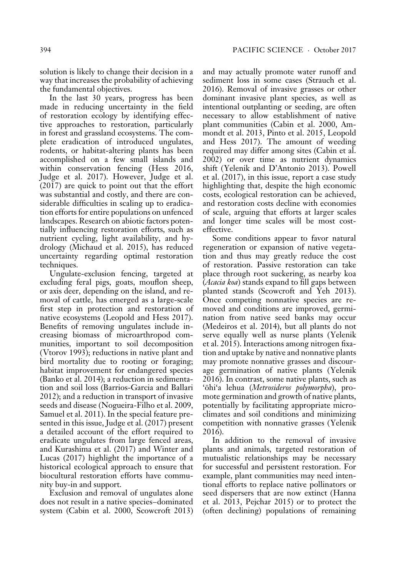solution is likely to change their decision in a way that increases the probability of achieving the fundamental objectives.

In the last 30 years, progress has been made in reducing uncertainty in the field of restoration ecology by identifying effective approaches to restoration, particularly in forest and grassland ecosystems. The complete eradication of introduced ungulates, rodents, or habitat-altering plants has been accomplished on a few small islands and within conservation fencing (Hess 2016, Judge et al. 2017). However, Judge et al. (2017) are quick to point out that the effort was substantial and costly, and there are considerable difficulties in scaling up to eradication efforts for entire populations on unfenced landscapes. Research on abiotic factors potentially influencing restoration efforts, such as nutrient cycling, light availability, and hydrology (Michaud et al. 2015), has reduced uncertainty regarding optimal restoration techniques.

Ungulate-exclusion fencing, targeted at excluding feral pigs, goats, mouflon sheep, or axis deer, depending on the island, and removal of cattle, has emerged as a large-scale first step in protection and restoration of native ecosystems (Leopold and Hess 2017). Benefits of removing ungulates include increasing biomass of microarthropod communities, important to soil decomposition ( Vtorov 1993); reductions in native plant and bird mortality due to rooting or foraging; habitat improvement for endangered species (Banko et al. 2014); a reduction in sedimentation and soil loss (Barrios-Garcia and Ballari 2012); and a reduction in transport of invasive seeds and disease (Nogueira-Filho et al. 2009, Samuel et al. 2011). In the special feature presented in this issue, Judge et al. (2017) present a detailed account of the effort required to eradicate ungulates from large fenced areas, and Kurashima et al. (2017) and Winter and Lucas (2017) highlight the importance of a historical ecological approach to ensure that biocultural restoration efforts have community buy-in and support.

Exclusion and removal of ungulates alone does not result in a native species–dominated system (Cabin et al. 2000, Scowcroft 2013) and may actually promote water runoff and sediment loss in some cases (Strauch et al. 2016). Removal of invasive grasses or other dominant invasive plant species, as well as intentional outplanting or seeding, are often necessary to allow establishment of native plant communities (Cabin et al. 2000, Ammondt et al. 2013, Pinto et al. 2015, Leopold and Hess 2017). The amount of weeding required may differ among sites (Cabin et al. 2002) or over time as nutrient dynamics shift ( Yelenik and D'Antonio 2013). Powell et al. (2017), in this issue, report a case study highlighting that, despite the high economic costs, ecological restoration can be achieved, and restoration costs decline with economies of scale, arguing that efforts at larger scales and longer time scales will be most costeffective.

Some conditions appear to favor natural regeneration or expansion of native vegetation and thus may greatly reduce the cost of restoration. Passive restoration can take place through root suckering, as nearby koa (*Acacia koa*) stands expand to fill gaps between planted stands (Scowcroft and Yeh 2013). Once competing nonnative species are removed and conditions are improved, germination from native seed banks may occur (Medeiros et al. 2014), but all plants do not serve equally well as nurse plants (Yelenik et al. 2015). Interactions among nitrogen fixation and uptake by native and nonnative plants may promote nonnative grasses and discourage germination of native plants ( Yelenik 2016). In contrast, some native plants, such as 'öhi'a lehua (*Metrosideros polymorpha*), promote germination and growth of native plants, potentially by facilitating appropriate microclimates and soil conditions and minimizing competition with nonnative grasses ( Yelenik 2016).

In addition to the removal of invasive plants and animals, targeted restoration of mutualistic relationships may be necessary for successful and persistent restoration. For example, plant communities may need intentional efforts to replace native pollinators or seed dispersers that are now extinct (Hanna et al. 2013, Pejchar 2015) or to protect the (often declining) populations of remaining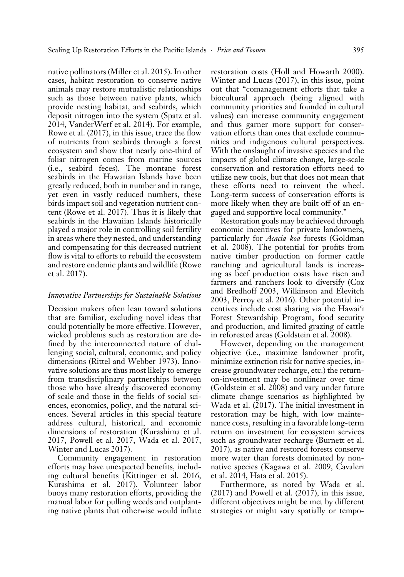native pollinators (Miller et al. 2015). In other cases, habitat restoration to conserve native animals may restore mutualistic relationships such as those between native plants, which provide nesting habitat, and seabirds, which deposit nitrogen into the system (Spatz et al. 2014, VanderWerf et al. 2014). For example, Rowe et al. (2017), in this issue, trace the flow of nutrients from seabirds through a forest ecosystem and show that nearly one-third of foliar nitrogen comes from marine sources (i.e., seabird feces). The montane forest seabirds in the Hawaiian Islands have been greatly reduced, both in number and in range, yet even in vastly reduced numbers, these birds impact soil and vegetation nutrient content (Rowe et al. 2017). Thus it is likely that seabirds in the Hawaiian Islands historically played a major role in controlling soil fertility in areas where they nested, and understanding and compensating for this decreased nutrient flow is vital to efforts to rebuild the ecosystem and restore endemic plants and wildlife (Rowe et al. 2017).

# *Innovative Partnerships for Sustainable Solutions*

Decision makers often lean toward solutions that are familiar, excluding novel ideas that could potentially be more effective. However, wicked problems such as restoration are defined by the interconnected nature of challenging social, cultural, economic, and policy dimensions (Rittel and Webber 1973). Innovative solutions are thus most likely to emerge from transdisciplinary partnerships between those who have already discovered economy of scale and those in the fields of social sciences, economics, policy, and the natural sciences. Several articles in this special feature address cultural, historical, and economic dimensions of restoration (Kurashima et al. 2017, Powell et al. 2017, Wada et al. 2017, Winter and Lucas 2017).

Community engagement in restoration efforts may have unexpected benefits, including cultural benefits (Kittinger et al. 2016, Kurashima et al. 2017). Volunteer labor buoys many restoration efforts, providing the manual labor for pulling weeds and outplanting native plants that otherwise would inflate

restoration costs (Holl and Howarth 2000). Winter and Lucas (2017), in this issue, point out that "comanagement efforts that take a biocultural approach (being aligned with community priorities and founded in cultural values) can increase community engagement and thus garner more support for conservation efforts than ones that exclude communities and indigenous cultural perspectives. With the onslaught of invasive species and the impacts of global climate change, large-scale conservation and restoration efforts need to utilize new tools, but that does not mean that these efforts need to reinvent the wheel. Long-term success of conservation efforts is more likely when they are built off of an engaged and supportive local community."

Restoration goals may be achieved through economic incentives for private landowners, particularly for *Acacia koa* forests (Goldman et al. 2008). The potential for profits from native timber production on former cattle ranching and agricultural lands is increasing as beef production costs have risen and farmers and ranchers look to diversify (Cox and Bredhoff 2003, Wilkinson and Elevitch 2003, Perroy et al. 2016). Other potential incentives include cost sharing via the Hawai'i Forest Stewardship Program, food security and production, and limited grazing of cattle in reforested areas (Goldstein et al. 2008).

However, depending on the management objective (i.e., maximize landowner profit, minimize extinction risk for native species, increase groundwater recharge, etc.) the returnon-investment may be nonlinear over time (Goldstein et al. 2008) and vary under future climate change scenarios as highlighted by Wada et al. (2017). The initial investment in restoration may be high, with low maintenance costs, resulting in a favorable long-term return on investment for ecosystem services such as groundwater recharge (Burnett et al. 2017), as native and restored forests conserve more water than forests dominated by nonnative species (Kagawa et al. 2009, Cavaleri et al. 2014, Hata et al. 2015).

Furthermore, as noted by Wada et al. (2017) and Powell et al. (2017), in this issue, different objectives might be met by different strategies or might vary spatially or tempo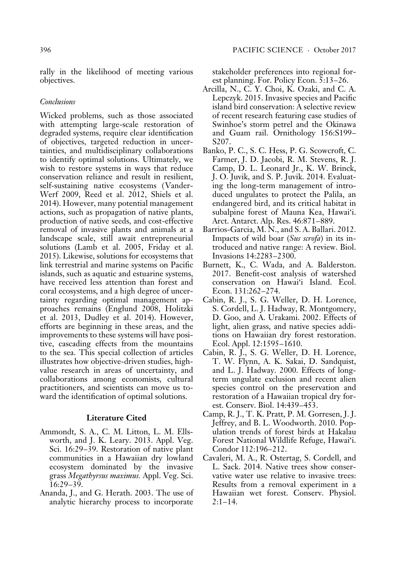rally in the likelihood of meeting various objectives.

# *Conclusions*

Wicked problems, such as those associated with attempting large-scale restoration of degraded systems, require clear identification of objectives, targeted reduction in uncertainties, and multidisciplinary collaborations to identify optimal solutions. Ultimately, we wish to restore systems in ways that reduce conservation reliance and result in resilient, self-sustaining native ecosystems (Vander-Werf 2009, Reed et al. 2012, Shiels et al. 2014). However, many potential management actions, such as propagation of native plants, production of native seeds, and cost-effective removal of invasive plants and animals at a landscape scale, still await entrepreneurial solutions (Lamb et al. 2005, Friday et al. 2015). Likewise, solutions for ecosystems that link terrestrial and marine systems on Pacific islands, such as aquatic and estuarine systems, have received less attention than forest and coral ecosystems, and a high degree of uncertainty regarding optimal management approaches remains (Englund 2008, Holitzki et al. 2013, Dudley et al. 2014). However, efforts are beginning in these areas, and the improvements to these systems will have positive, cascading effects from the mountains to the sea. This special collection of articles illustrates how objective-driven studies, highvalue research in areas of uncertainty, and collaborations among economists, cultural practitioners, and scientists can move us toward the identification of optimal solutions.

# **Literature Cited**

- Ammondt, S. A., C. M. Litton, L. M. Ellsworth, and J. K. Leary. 2013. Appl. Veg. Sci. 16:29–39. Restoration of native plant communities in a Hawaiian dry lowland ecosystem dominated by the invasive grass *Megathyrsus maximus.* Appl. Veg. Sci. 16:29–39.
- Ananda, J., and G. Herath. 2003. The use of analytic hierarchy process to incorporate

stakeholder preferences into regional forest planning. For. Policy Econ. 5:13–26.

- Arcilla, N., C. Y. Choi, K. Ozaki, and C. A. Lepczyk. 2015. Invasive species and Pacific island bird conservation: A selective review of recent research featuring case studies of Swinhoe's storm petrel and the Okinawa and Guam rail. Ornithology 156:S199– S207.
- Banko, P. C., S. C. Hess, P. G. Scowcroft, C. Farmer, J. D. Jacobi, R. M. Stevens, R. J. Camp, D. L. Leonard Jr., K. W. Brinck, J. O. Juvik, and S. P. Juvik. 2014. Evaluating the long-term management of introduced ungulates to protect the Palila, an endangered bird, and its critical habitat in subalpine forest of Mauna Kea, Hawai'i. Arct. Antarct. Alp. Res. 46:871–889.
- Barrios-Garcia, M. N., and S. A. Ballari. 2012. Impacts of wild boar (*Sus scrofa*) in its introduced and native range: A review. Biol. Invasions 14:2283–2300.
- Burnett, K., C. Wada, and A. Balderston. 2017. Benefit-cost analysis of watershed conservation on Hawai'i Island. Ecol. Econ. 131:262–274.
- Cabin, R. J., S. G. Weller, D. H. Lorence, S. Cordell, L. J. Hadway, R. Montgomery, D. Goo, and A. Urakami. 2002. Effects of light, alien grass, and native species additions on Hawaiian dry forest restoration. Ecol. Appl. 12:1595–1610.
- Cabin, R. J., S. G. Weller, D. H. Lorence, T. W. Flynn, A. K. Sakai, D. Sandquist, and L. J. Hadway. 2000. Effects of longterm ungulate exclusion and recent alien species control on the preservation and restoration of a Hawaiian tropical dry forest. Conserv. Biol. 14:439–453.
- Camp, R. J., T. K. Pratt, P. M. Gorresen, J. J. Jeffrey, and B. L. Woodworth. 2010. Population trends of forest birds at Hakalau Forest National Wildlife Refuge, Hawai'i. Condor 112:196–212.
- Cavaleri, M. A., R. Ostertag, S. Cordell, and L. Sack. 2014. Native trees show conservative water use relative to invasive trees: Results from a removal experiment in a Hawaiian wet forest. Conserv. Physiol.  $2:1-14.$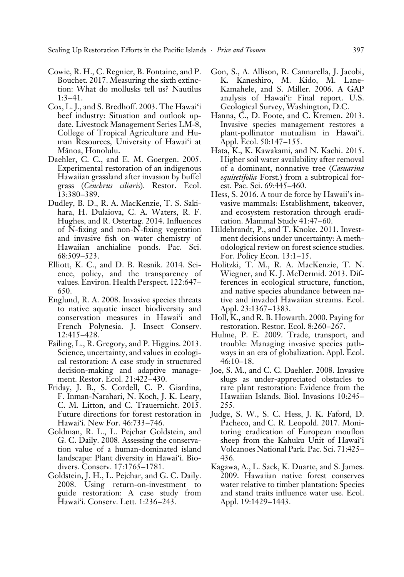- Cowie, R. H., C. Regnier, B. Fontaine, and P. Bouchet. 2017. Measuring the sixth extinction: What do mollusks tell us? Nautilus 1:3–41.
- Cox, L. J., and S. Bredhoff. 2003. The Hawai'i beef industry: Situation and outlook update. Livestock Management Series LM-8, College of Tropical Agriculture and Human Resources, University of Hawai'i at Mänoa, Honolulu.
- Daehler, C. C., and E. M. Goergen. 2005. Experimental restoration of an indigenous Hawaiian grassland after invasion by buffel grass (*Cenchrus ciliaris*). Restor. Ecol. 13:380–389.
- Dudley, B. D., R. A. MacKenzie, T. S. Sakihara, H. Dulaiova, C. A. Waters, R. F. Hughes, and R. Ostertag. 2014. Influences of N-fixing and non-N-fixing vegetation and invasive fish on water chemistry of Hawaiian anchialine ponds. Pac. Sci. 68:509–523.
- Elliott, K. C., and D. B. Resnik. 2014. Science, policy, and the transparency of values. Environ. Health Perspect. 122:647– 650.
- Englund, R. A. 2008. Invasive species threats to native aquatic insect biodiversity and conservation measures in Hawai'i and French Polynesia. J. Insect Conserv. 12:415–428.
- Failing, L., R. Gregory, and P. Higgins. 2013. Science, uncertainty, and values in ecological restoration: A case study in structured decision-making and adaptive management. Restor. Ecol. 21:422–430.
- Friday, J. B., S. Cordell, C. P. Giardina, F. Inman-Narahari, N. Koch, J. K. Leary, C. M. Litton, and C. Trauernicht. 2015. Future directions for forest restoration in Hawai'i. New For. 46:733–746.
- Goldman, R. L., L. Pejchar Goldstein, and G. C. Daily. 2008. Assessing the conservation value of a human-dominated island landscape: Plant diversity in Hawai'i. Biodivers. Conserv. 17:1765–1781.
- Goldstein, J. H., L. Pejchar, and G. C. Daily. 2008. Using return-on-investment to guide restoration: A case study from Hawai'i. Conserv. Lett. 1:236–243.
- Gon, S., A. Allison, R. Cannarella, J. Jacobi, K. Kaneshiro, M. Kido, M. Lane-Kamahele, and S. Miller. 2006. A GAP analysis of Hawai'i: Final report. U.S. Geological Survey, Washington, D.C.
- Hanna, C., D. Foote, and C. Kremen. 2013. Invasive species management restores a plant-pollinator mutualism in Hawai'i. Appl. Ecol. 50:147–155.
- Hata, K., K. Kawakami, and N. Kachi. 2015. Higher soil water availability after removal of a dominant, nonnative tree (*Casuarina equisetifolia* Forst.) from a subtropical forest. Pac. Sci. 69:445–460.
- Hess, S. 2016. A tour de force by Hawaii's invasive mammals: Establishment, takeover, and ecosystem restoration through eradication. Mammal Study 41:47–60.
- Hildebrandt, P., and T. Knoke. 2011. Investment decisions under uncertainty: A methodological review on forest science studies. For. Policy Econ. 13:1–15.
- Holitzki, T. M., R. A. MacKenzie, T. N. Wiegner, and K. J. McDermid. 2013. Differences in ecological structure, function, and native species abundance between native and invaded Hawaiian streams. Ecol. Appl. 23:1367–1383.
- Holl, K., and R. B. Howarth. 2000. Paying for restoration. Restor. Ecol. 8:260–267.
- Hulme, P. E. 2009. Trade, transport, and trouble: Managing invasive species pathways in an era of globalization. Appl. Ecol. 46:10–18.
- Joe, S. M., and C. C. Daehler. 2008. Invasive slugs as under-appreciated obstacles to rare plant restoration: Evidence from the Hawaiian Islands. Biol. Invasions 10:245– 255.
- Judge, S. W., S. C. Hess, J. K. Faford, D. Pacheco, and C. R. Leopold. 2017. Monitoring eradication of European mouflon sheep from the Kahuku Unit of Hawai'i Volcanoes National Park. Pac. Sci. 71:425– 436.
- Kagawa, A., L. Sack, K. Duarte, and S. James. 2009. Hawaiian native forest conserves water relative to timber plantation: Species and stand traits influence water use. Ecol. Appl. 19:1429–1443.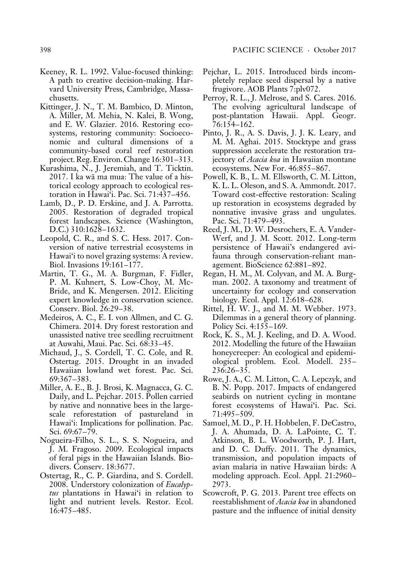- Keeney, R. L. 1992. Value-focused thinking: A path to creative decision-making. Harvard University Press, Cambridge, Massachusetts.
- Kittinger, J. N., T. M. Bambico, D. Minton, A. Miller, M. Mehia, N. Kalei, B. Wong, and E. W. Glazier. 2016. Restoring ecosystems, restoring community: Socioeconomic and cultural dimensions of a community-based coral reef restoration project. Reg. Environ. Change 16:301–313.
- Kurashima, N., J. Jeremiah, and T. Ticktin. 2017. I ka wä ma mua: The value of a historical ecology approach to ecological restoration in Hawai'i. Pac. Sci. 71:437–456.
- Lamb, D., P. D. Erskine, and J. A. Parrotta. 2005. Restoration of degraded tropical forest landscapes. Science (Washington, D.C.) 310:1628–1632.
- Leopold, C. R., and S. C. Hess. 2017. Conversion of native terrestrial ecosystems in Hawai'i to novel grazing systems: A review. Biol. Invasions 19:161–177.
- Martin, T. G., M. A. Burgman, F. Fidler, P. M. Kuhnert, S. Low-Choy, M. Mc-Bride, and K. Mengersen. 2012. Eliciting expert knowledge in conservation science. Conserv. Biol. 26:29–38.
- Medeiros, A. C., E. I. von Allmen, and C. G. Chimera. 2014. Dry forest restoration and unassisted native tree seedling recruitment at Auwahi, Maui. Pac. Sci. 68:33–45.
- Michaud, J., S. Cordell, T. C. Cole, and R. Ostertag. 2015. Drought in an invaded Hawaiian lowland wet forest. Pac. Sci. 69:367–383.
- Miller, A. E., B. J. Brosi, K. Magnacca, G. C. Daily, and L. Pejchar. 2015. Pollen carried by native and nonnative bees in the largescale reforestation of pastureland in Hawai'i: Implications for pollination. Pac. Sci. 69:67–79.
- Nogueira-Filho, S. L., S. S. Nogueira, and J. M. Fragoso. 2009. Ecological impacts of feral pigs in the Hawaiian Islands. Biodivers. Conserv. 18:3677.
- Ostertag, R., C. P. Giardina, and S. Cordell. 2008. Understory colonization of *Eucalyptus* plantations in Hawai'i in relation to light and nutrient levels. Restor. Ecol. 16:475–485.
- Pejchar, L. 2015. Introduced birds incompletely replace seed dispersal by a native frugivore. AOB Plants 7:plv072.
- Perroy, R. L., J. Melrose, and S. Cares. 2016. The evolving agricultural landscape of post-plantation Hawaii. Appl. Geogr. 76:154–162.
- Pinto, J. R., A. S. Davis, J. J. K. Leary, and M. M. Aghai. 2015. Stocktype and grass suppression accelerate the restoration trajectory of *Acacia koa* in Hawaiian montane ecosystems. New For. 46:855-867.
- Powell, K. B., L. M. Ellsworth, C. M. Litton, K. L. L. Oleson, and S. A. Ammondt. 2017. Toward cost-effective restoration: Scaling up restoration in ecosystems degraded by nonnative invasive grass and ungulates. Pac. Sci. 71:479–493.
- Reed, J. M., D. W. Desrochers, E. A. Vander-Werf, and J. M. Scott. 2012. Long-term persistence of Hawaii's endangered avifauna through conservation-reliant management. BioScience 62:881–892.
- Regan, H. M., M. Colyvan, and M. A. Burgman. 2002. A taxonomy and treatment of uncertainty for ecology and conservation biology. Ecol. Appl. 12:618–628.
- Rittel, H. W. J., and M. M. Webber. 1973. Dilemmas in a general theory of planning. Policy Sci. 4:155–169.
- Rock, K. S., M. J. Keeling, and D. A. Wood. 2012. Modelling the future of the Hawaiian honeycreeper: An ecological and epidemiological problem. Ecol. Modell. 235– 236:26–35.
- Rowe, J. A., C. M. Litton, C. A. Lepczyk, and B. N. Popp. 2017. Impacts of endangered seabirds on nutrient cycling in montane forest ecosystems of Hawai'i. Pac. Sci. 71:495–509.
- Samuel, M. D., P. H. Hobbelen, F. DeCastro, J. A. Ahumada, D. A. LaPointe, C. T. Atkinson, B. L. Woodworth, P. J. Hart, and D. C. Duffy. 2011. The dynamics, transmission, and population impacts of avian malaria in native Hawaiian birds: A modeling approach. Ecol. Appl. 21:2960– 2973.
- Scowcroft, P. G. 2013. Parent tree effects on reestablishment of *Acacia koa* in abandoned pasture and the influence of initial density